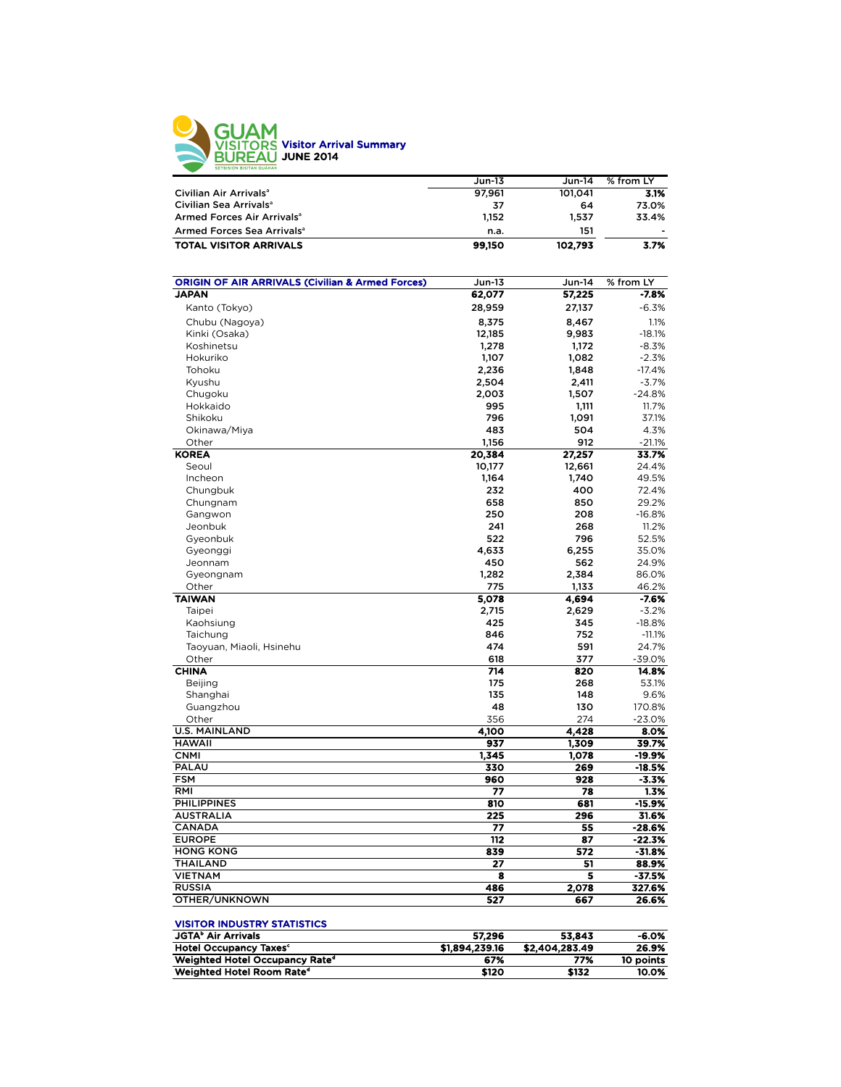

|                                        | Jun-13 | $Jun-14$ | % from LY |
|----------------------------------------|--------|----------|-----------|
| Civilian Air Arrivals <sup>a</sup>     | 97.961 | 101.041  | 3.1%      |
| Civilian Sea Arrivals <sup>a</sup>     | 37     | 64       | 73.0%     |
| Armed Forces Air Arrivals <sup>a</sup> | 1.152  | 1.537    | 33.4%     |
| Armed Forces Sea Arrivals <sup>a</sup> | n.a.   | 151      | -         |
| <b>TOTAL VISITOR ARRIVALS</b>          | 99,150 | 102.793  | 3.7%      |

| <b>ORIGIN OF AIR ARRIVALS (Civilian &amp; Armed Forces)</b> | Jun-13           | Jun-14         | % from LY           |
|-------------------------------------------------------------|------------------|----------------|---------------------|
| <b>JAPAN</b>                                                | 62,077           | 57,225         | $-7.8%$             |
| Kanto (Tokyo)                                               | 28,959           | 27,137         | $-6.3%$             |
| Chubu (Nagoya)                                              | 8,375            | 8,467          | 1.1%                |
| Kinki (Osaka)                                               | 12,185           | 9,983          | $-18.1%$            |
| Koshinetsu                                                  | 1,278            | 1,172          | $-8.3%$             |
| Hokuriko                                                    | 1,107            | 1,082          | $-2.3%$             |
| Tohoku                                                      | 2,236            | 1,848          | $-17.4%$            |
| Kyushu                                                      | 2,504            | 2,411          | $-3.7%$             |
| Chugoku                                                     | 2,003            | 1,507          | $-24.8%$            |
| Hokkaido                                                    | 995              | 1,111          | 11.7%               |
| Shikoku                                                     | 796              | 1,091          | 37.1%               |
| Okinawa/Miya                                                | 483              | 504            | 4.3%                |
| Other                                                       | 1,156            | 912            | $-21.1%$            |
| <b>KOREA</b>                                                | 20,384           | 27,257         | 33.7%               |
| Seoul                                                       | 10,177           | 12,661         | 24.4%               |
| Incheon                                                     | 1,164            | 1,740          | 49.5%               |
| Chungbuk                                                    | 232              | 400            | 72.4%               |
| Chungnam                                                    | 658              | 850            | 29.2%               |
| Gangwon                                                     | 250              | 208            | $-16.8%$            |
| Jeonbuk                                                     | 241              | 268            | 11.2%               |
|                                                             | 522              | 796            | 52.5%               |
| Gyeonbuk                                                    |                  |                | 35.0%               |
| Gyeonggi                                                    | 4,633            | 6,255          |                     |
| Jeonnam                                                     | 450              | 562            | 24.9%               |
| Gyeongnam                                                   | 1,282            | 2,384          | 86.0%               |
| Other                                                       | 775              | 1,133          | 46.2%               |
| <b>TAIWAN</b>                                               | 5,078            | 4,694          | $-7.6%$             |
| Taipei                                                      | 2,715<br>425     | 2,629          | $-3.2%$<br>$-18.8%$ |
| Kaohsiung                                                   |                  | 345            |                     |
| Taichung                                                    | 846              | 752            | $-11.1%$            |
| Taoyuan, Miaoli, Hsinehu                                    | 474              | 591            | 24.7%               |
| Other<br><b>CHINA</b>                                       | 618<br>714       | 377<br>820     | $-39.0%$            |
|                                                             |                  |                | 14.8%               |
| <b>Beijing</b>                                              | 175<br>135       | 268<br>148     | 53.1%               |
| Shanghai                                                    |                  |                | 9.6%                |
| Guangzhou                                                   | 48               | 130            | 170.8%              |
| Other                                                       | 356              | 274            | $-23.0%$            |
| <b>U.S. MAINLAND</b>                                        | 4,100            | 4,428          | 8.0%                |
| <b>HAWAII</b><br><b>CNMI</b>                                | 937              | 1.309          | 39.7%               |
| PALAU                                                       | 1,345<br>330     | 1,078<br>269   | -19.9%<br>$-18.5%$  |
| <b>FSM</b>                                                  | 960              | 928            | $-3.3%$             |
| RMI                                                         | 77               | 78             | 1.3%                |
| <b>PHILIPPINES</b>                                          | 810              | 681            | $-15.9%$            |
| <b>AUSTRALIA</b>                                            | 225              | 296            | 31.6%               |
| <b>CANADA</b>                                               | 77               | 55             | $-28.6%$            |
| <b>EUROPE</b>                                               | $\overline{112}$ | 87             | $-22.3%$            |
| <b>HONG KONG</b>                                            | 839              | 572            | $-31.8%$            |
| <b>THAILAND</b>                                             | 27               | 51             | 88.9%               |
| <b>VIETNAM</b>                                              | 8                | 5              | $-37.5%$            |
| <b>RUSSIA</b>                                               | 486              |                |                     |
| OTHER/UNKNOWN                                               | 527              | 2,078<br>667   | 327.6%<br>26.6%     |
|                                                             |                  |                |                     |
| <b>VISITOR INDUSTRY STATISTICS</b>                          |                  |                |                     |
| <b>JGTA<sup>b</sup> Air Arrivals</b>                        | 57,296           | 53,843         | $-6.0%$             |
| <b>Hotel Occupancy Taxes<sup>c</sup></b>                    | \$1,894,239.16   | \$2,404,283.49 | 26.9%               |

Weighted Hotel Occupancy Rated 67% 77% 10 points Weighted Hotel Room Rated \$120 \$132 10.0%